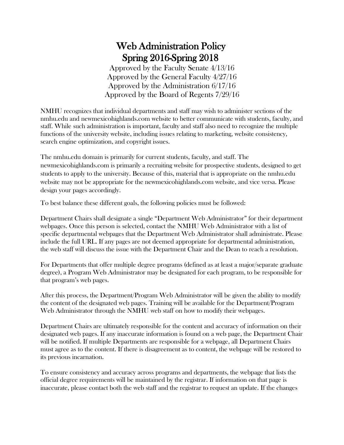## Web Administration Policy Spring 2016-Spring 2018

Approved by the Faculty Senate 4/13/16 Approved by the General Faculty 4/27/16 Approved by the Administration 6/17/16 Approved by the Board of Regents 7/29/16

NMHU recognizes that individual departments and staff may wish to administer sections of the nmhu.edu and newmexicohighlands.com website to better communicate with students, faculty, and staff. While such administration is important, faculty and staff also need to recognize the multiple functions of the university website, including issues relating to marketing, website consistency, search engine optimization, and copyright issues.

The nmhu.edu domain is primarily for current students, faculty, and staff. The newmexicohighlands.com is primarily a recruiting website for prospective students, designed to get students to apply to the university. Because of this, material that is appropriate on the nmhu.edu website may not be appropriate for the newmexicohighlands.com website, and vice versa. Please design your pages accordingly.

To best balance these different goals, the following policies must be followed:

Department Chairs shall designate a single "Department Web Administrator" for their department webpages. Once this person is selected, contact the NMHU Web Administrator with a list of specific departmental webpages that the Department Web Administrator shall administrate. Please include the full URL. If any pages are not deemed appropriate for departmental administration, the web staff will discuss the issue with the Department Chair and the Dean to reach a resolution.

For Departments that offer multiple degree programs (defined as at least a major/separate graduate degree), a Program Web Administrator may be designated for each program, to be responsible for that program's web pages.

After this process, the Department/Program Web Administrator will be given the ability to modify the content of the designated web pages. Training will be available for the Department/Program Web Administrator through the NMHU web staff on how to modify their webpages.

Department Chairs are ultimately responsible for the content and accuracy of information on their designated web pages. If any inaccurate information is found on a web page, the Department Chair will be notified. If multiple Departments are responsible for a webpage, all Department Chairs must agree as to the content. If there is disagreement as to content, the webpage will be restored to its previous incarnation.

To ensure consistency and accuracy across programs and departments, the webpage that lists the official degree requirements will be maintained by the registrar. If information on that page is inaccurate, please contact both the web staff and the registrar to request an update. If the changes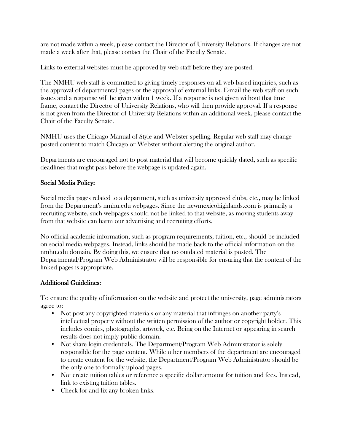are not made within a week, please contact the Director of University Relations. If changes are not made a week after that, please contact the Chair of the Faculty Senate.

Links to external websites must be approved by web staff before they are posted.

The NMHU web staff is committed to giving timely responses on all web-based inquiries, such as the approval of departmental pages or the approval of external links. E-mail the web staff on such issues and a response will be given within 1 week. If a response is not given without that time frame, contact the Director of University Relations, who will then provide approval. If a response is not given from the Director of University Relations within an additional week, please contact the Chair of the Faculty Senate.

NMHU uses the Chicago Manual of Style and Webster spelling. Regular web staff may change posted content to match Chicago or Webster without alerting the original author.

Departments are encouraged not to post material that will become quickly dated, such as specific deadlines that might pass before the webpage is updated again.

## Social Media Policy:

Social media pages related to a department, such as university approved clubs, etc., may be linked from the Department's nmhu.edu webpages. Since the newmexicohighlands.com is primarily a recruiting website, such webpages should not be linked to that website, as moving students away from that website can harm our advertising and recruiting efforts.

No official academic information, such as program requirements, tuition, etc., should be included on social media webpages. Instead, links should be made back to the official information on the nmhu.edu domain. By doing this, we ensure that no outdated material is posted. The Departmental/Program Web Administrator will be responsible for ensuring that the content of the linked pages is appropriate.

## Additional Guidelines:

To ensure the quality of information on the website and protect the university, page administrators agree to:

- Not post any copyrighted materials or any material that infringes on another party's intellectual property without the written permission of the author or copyright holder. This includes comics, photographs, artwork, etc. Being on the Internet or appearing in search results does not imply public domain.
- Not share login credentials. The Department/Program Web Administrator is solely responsible for the page content. While other members of the department are encouraged to create content for the website, the Department/Program Web Administrator should be the only one to formally upload pages.
- Not create tuition tables or reference a specific dollar amount for tuition and fees. Instead, link to existing tuition tables.
- Check for and fix any broken links.